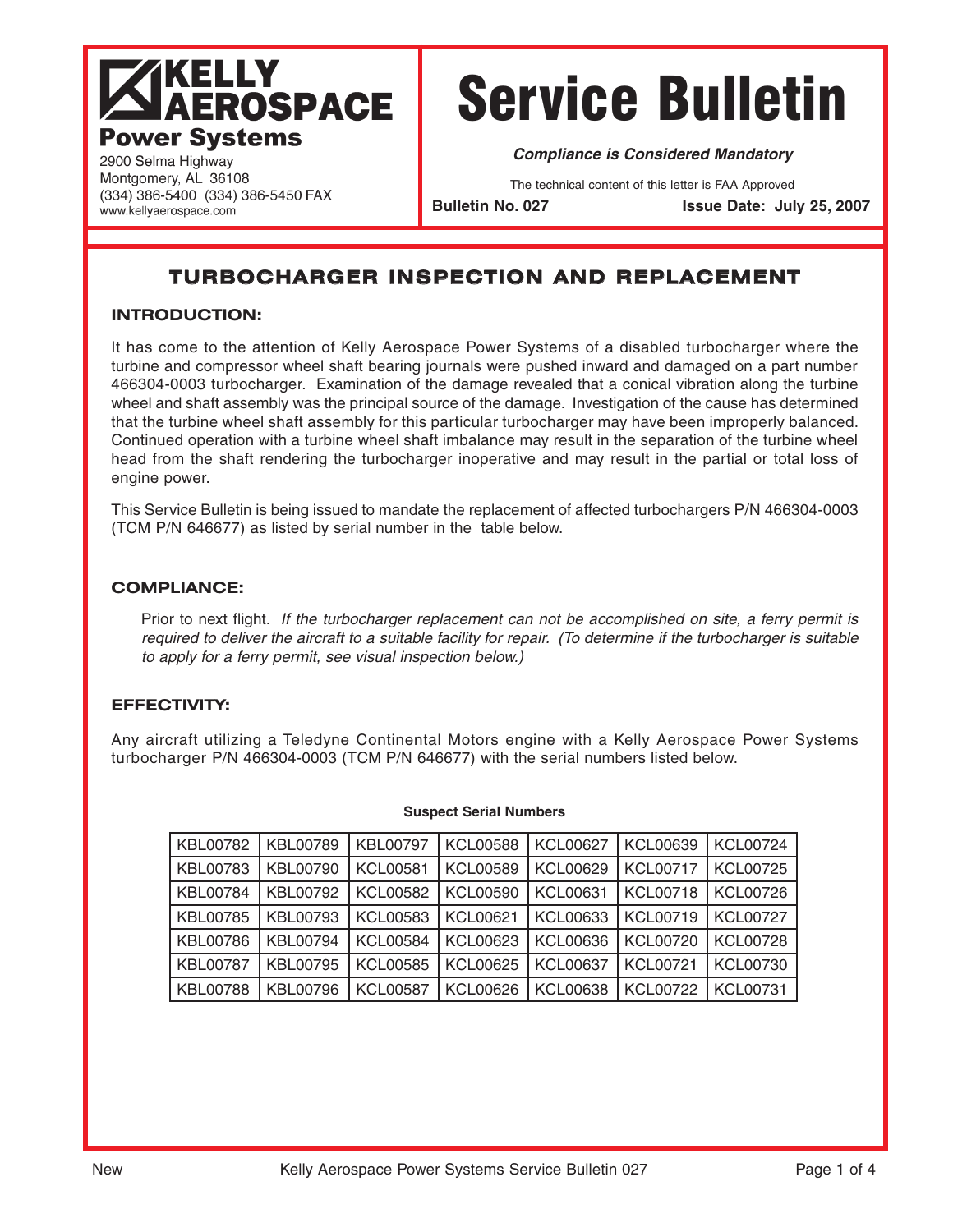## **KELLY AEROSPACE Power Systems**

# Service Bulletin

**Compliance is Considered Mandatory**

The technical content of this letter is FAA Approved

**Bulletin No. 027 Issue Date: July 25, 2007**

### **TURBOCHARGER INSPECTION AND REPLACEMENT**

#### **INTRODUCTION:**

(334) 386-5400 (334) 386-5450 FAX

2900 Selma Highway Montgomery, AL 36108

www.kellyaerospace.com

It has come to the attention of Kelly Aerospace Power Systems of a disabled turbocharger where the turbine and compressor wheel shaft bearing journals were pushed inward and damaged on a part number 466304-0003 turbocharger. Examination of the damage revealed that a conical vibration along the turbine wheel and shaft assembly was the principal source of the damage. Investigation of the cause has determined that the turbine wheel shaft assembly for this particular turbocharger may have been improperly balanced. Continued operation with a turbine wheel shaft imbalance may result in the separation of the turbine wheel head from the shaft rendering the turbocharger inoperative and may result in the partial or total loss of engine power.

This Service Bulletin is being issued to mandate the replacement of affected turbochargers P/N 466304-0003 (TCM P/N 646677) as listed by serial number in the table below.

#### **COMPLIANCE:**

Prior to next flight. If the turbocharger replacement can not be accomplished on site, a ferry permit is required to deliver the aircraft to a suitable facility for repair. (To determine if the turbocharger is suitable to apply for a ferry permit, see visual inspection below.)

#### **EFFECTIVITY:**

Any aircraft utilizing a Teledyne Continental Motors engine with a Kelly Aerospace Power Systems turbocharger P/N 466304-0003 (TCM P/N 646677) with the serial numbers listed below.

#### **Suspect Serial Numbers**

| KBL00782        | KBL00789 | <b>KBL00797</b> | <b>KCL00588</b> | <b>KCL00627</b> | <b>KCL00639</b> | <b>KCL00724</b> |
|-----------------|----------|-----------------|-----------------|-----------------|-----------------|-----------------|
| KBL00783        | KBL00790 | <b>KCL00581</b> | <b>KCL00589</b> | KCL00629        | <b>KCL00717</b> | <b>KCL00725</b> |
| KBL00784        | KBL00792 | <b>KCL00582</b> | <b>KCL00590</b> | <b>KCL00631</b> | <b>KCL00718</b> | <b>KCL00726</b> |
| KBL00785        | KBL00793 | <b>KCL00583</b> | <b>KCL00621</b> | KCL00633        | <b>KCL00719</b> | <b>KCL00727</b> |
| KBL00786        | KBL00794 | <b>KCL00584</b> | <b>KCL00623</b> | KCL00636        | <b>KCL00720</b> | <b>KCL00728</b> |
| <b>KBL00787</b> | KBL00795 | KCL00585        | KCL00625        | <b>KCL00637</b> | <b>KCL00721</b> | <b>KCL00730</b> |
| KBL00788        | KBL00796 | <b>KCL00587</b> | KCL00626        | <b>KCL00638</b> | <b>KCL00722</b> | <b>KCL00731</b> |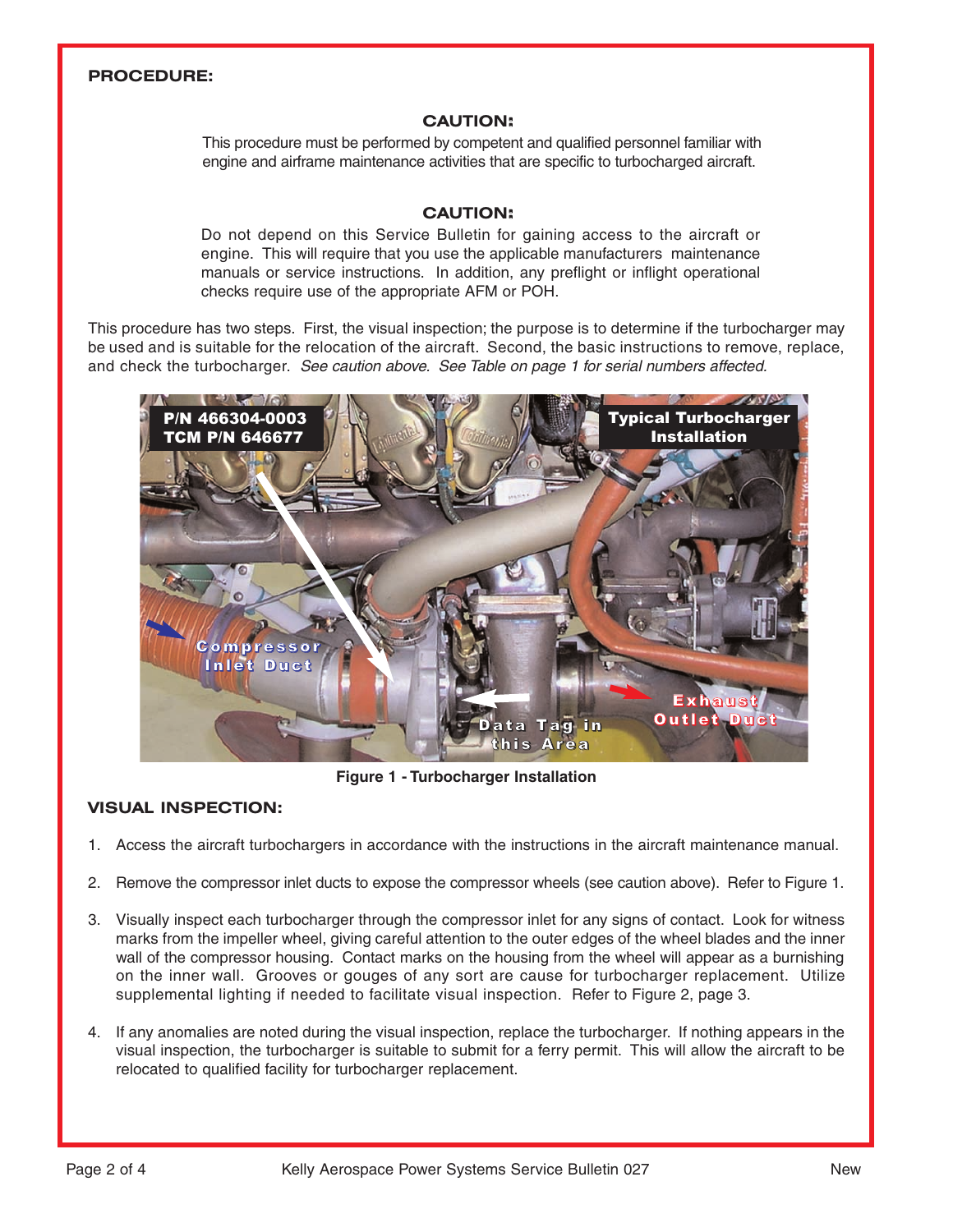#### **PROCEDURE:**

#### **CAUTION:**

This procedure must be performed by competent and qualified personnel familiar with engine and airframe maintenance activities that are specific to turbocharged aircraft.

#### **CAUTION:**

Do not depend on this Service Bulletin for gaining access to the aircraft or engine. This will require that you use the applicable manufacturers maintenance manuals or service instructions. In addition, any preflight or inflight operational checks require use of the appropriate AFM or POH.

This procedure has two steps. First, the visual inspection; the purpose is to determine if the turbocharger may be used and is suitable for the relocation of the aircraft. Second, the basic instructions to remove, replace, and check the turbocharger. See caution above. See Table on page 1 for serial numbers affected.



**Figure 1 - Turbocharger Installation**

#### **VISUAL INSPECTION:**

- 1. Access the aircraft turbochargers in accordance with the instructions in the aircraft maintenance manual.
- 2. Remove the compressor inlet ducts to expose the compressor wheels (see caution above). Refer to Figure 1.
- 3. Visually inspect each turbocharger through the compressor inlet for any signs of contact. Look for witness marks from the impeller wheel, giving careful attention to the outer edges of the wheel blades and the inner wall of the compressor housing. Contact marks on the housing from the wheel will appear as a burnishing on the inner wall. Grooves or gouges of any sort are cause for turbocharger replacement. Utilize supplemental lighting if needed to facilitate visual inspection. Refer to Figure 2, page 3.
- 4. If any anomalies are noted during the visual inspection, replace the turbocharger. If nothing appears in the visual inspection, the turbocharger is suitable to submit for a ferry permit. This will allow the aircraft to be relocated to qualified facility for turbocharger replacement.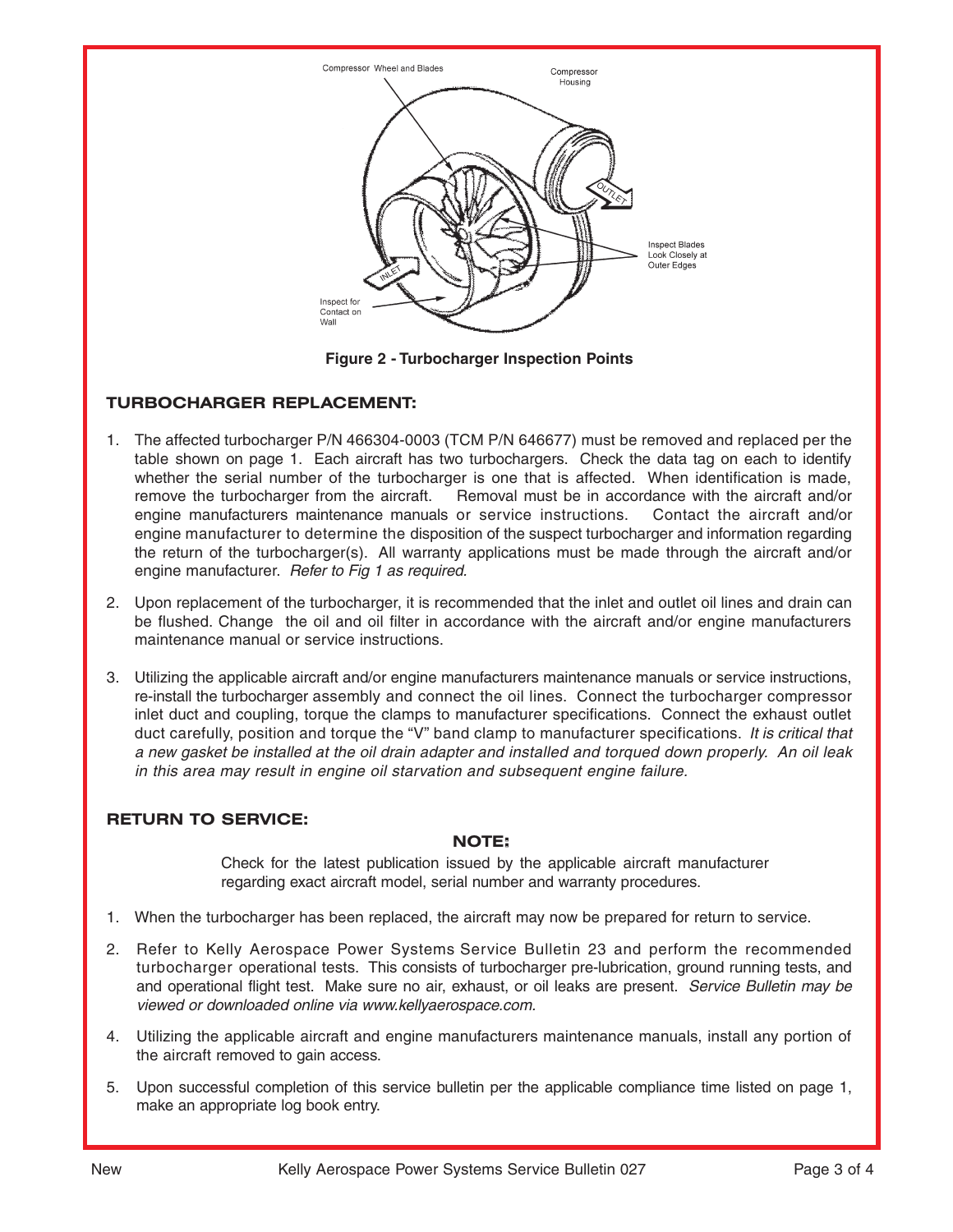

**Figure 2 - Turbocharger Inspection Points**

#### **TURBOCHARGER REPLACEMENT:**

- 1. The affected turbocharger P/N 466304-0003 (TCM P/N 646677) must be removed and replaced per the table shown on page 1. Each aircraft has two turbochargers. Check the data tag on each to identify whether the serial number of the turbocharger is one that is affected. When identification is made, remove the turbocharger from the aircraft. Removal must be in accordance with the aircraft and/or engine manufacturers maintenance manuals or service instructions. Contact the aircraft and/or engine manufacturer to determine the disposition of the suspect turbocharger and information regarding the return of the turbocharger(s). All warranty applications must be made through the aircraft and/or engine manufacturer. Refer to Fig 1 as required.
- 2. Upon replacement of the turbocharger, it is recommended that the inlet and outlet oil lines and drain can be flushed. Change the oil and oil filter in accordance with the aircraft and/or engine manufacturers maintenance manual or service instructions.
- 3. Utilizing the applicable aircraft and/or engine manufacturers maintenance manuals or service instructions, re-install the turbocharger assembly and connect the oil lines. Connect the turbocharger compressor inlet duct and coupling, torque the clamps to manufacturer specifications. Connect the exhaust outlet duct carefully, position and torque the "V" band clamp to manufacturer specifications. It is critical that a new gasket be installed at the oil drain adapter and installed and torqued down properly. An oil leak in this area may result in engine oil starvation and subsequent engine failure.

#### **RETURN TO SERVICE:**

#### **NOTE:**

Check for the latest publication issued by the applicable aircraft manufacturer regarding exact aircraft model, serial number and warranty procedures.

- 1. When the turbocharger has been replaced, the aircraft may now be prepared for return to service.
- 2. Refer to Kelly Aerospace Power Systems Service Bulletin 23 and perform the recommended turbocharger operational tests. This consists of turbocharger pre-lubrication, ground running tests, and and operational flight test. Make sure no air, exhaust, or oil leaks are present. Service Bulletin may be viewed or downloaded online via www.kellyaerospace.com.
- 4. Utilizing the applicable aircraft and engine manufacturers maintenance manuals, install any portion of the aircraft removed to gain access.
- 5. Upon successful completion of this service bulletin per the applicable compliance time listed on page 1, make an appropriate log book entry.